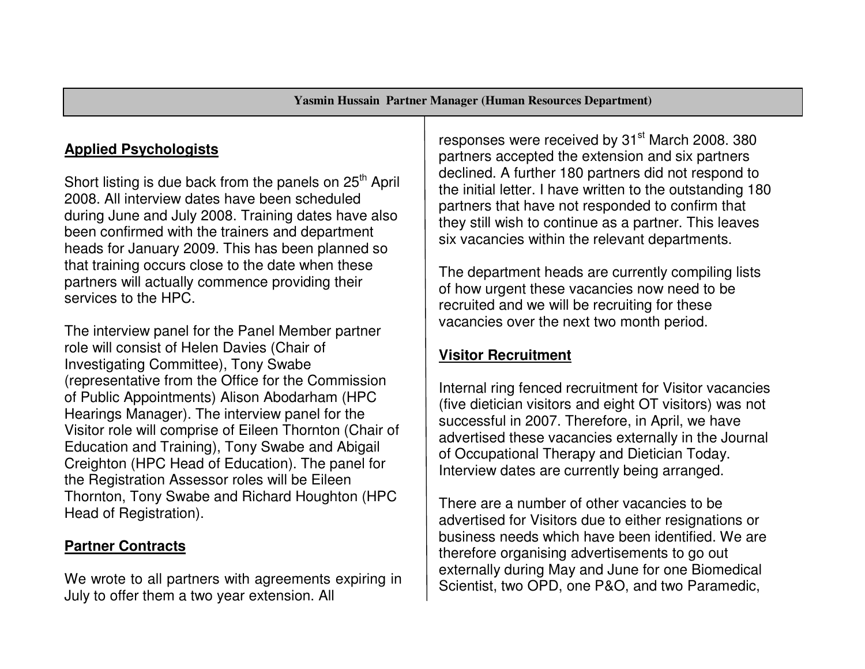# **Applied Psychologists**

Short listing is due back from the panels on  $25<sup>th</sup>$  April 2008. All interview dates have been scheduled during June and July 2008. Training dates have alsobeen confirmed with the trainers and department heads for January 2009. This has been planned so that training occurs close to the date when these partners will actually commence providing their services to the HPC.

The interview panel for the Panel Member partner role will consist of Helen Davies (Chair of Investigating Committee), Tony Swabe (representative from the Office for the Commission of Public Appointments) Alison Abodarham (HPC Hearings Manager). The interview panel for the Visitor role will comprise of Eileen Thornton (Chair of Education and Training), Tony Swabe and Abigail Creighton (HPC Head of Education). The panel for the Registration Assessor roles will be Eileen Thornton, Tony Swabe and Richard Houghton (HPC Head of Registration).

### **Partner Contracts**

We wrote to all partners with agreements expiring in July to offer them a two year extension. All

responses were received by 31<sup>st</sup> March 2008. 380 partners accepted the extension and six partners declined. A further 180 partners did not respond to the initial letter. I have written to the outstanding 180 partners that have not responded to confirm that they still wish to continue as a partner. This leaves six vacancies within the relevant departments.

The department heads are currently compiling lists of how urgent these vacancies now need to be recruited and we will be recruiting for these vacancies over the next two month period.

### **Visitor Recruitment**

Internal ring fenced recruitment for Visitor vacancies (five dietician visitors and eight OT visitors) was not successful in 2007. Therefore, in April, we have advertised these vacancies externally in the Journal of Occupational Therapy and Dietician Today. Interview dates are currently being arranged.

There are a number of other vacancies to be advertised for Visitors due to either resignations or business needs which have been identified. We are therefore organising advertisements to go out externally during May and June for one Biomedical Scientist, two OPD, one P&O, and two Paramedic,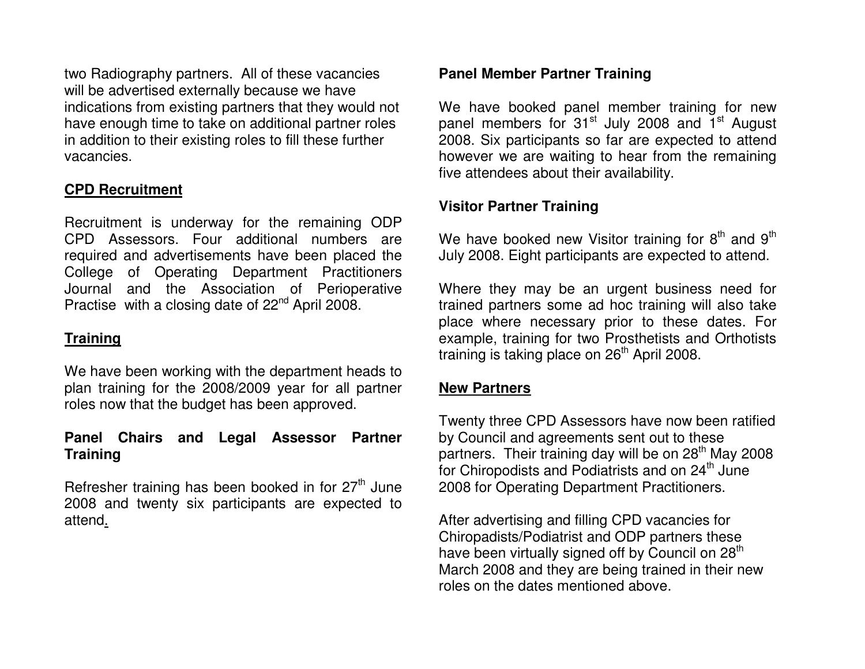two Radiography partners. All of these vacancies will be advertised externally because we have indications from existing partners that they would not have enough time to take on additional partner roles in addition to their existing roles to fill these further vacancies.

### **CPD Recruitment**

Recruitment is underway for the remaining ODP CPD Assessors. Four additional numbers are required and advertisements have been placed the College of Operating Department Practitioners Journal and the Association of Perioperative Practise with a closing date of 22<sup>nd</sup> April 2008.

#### **Training**

We have been working with the department heads to plan training for the 2008/2009 year for all partner roles now that the budget has been approved.

#### **Panel Chairs and Legal Assessor Partner Training**

Refresher training has been booked in for  $27<sup>th</sup>$  June 2008 and twenty six participants are expected to attend.

#### **Panel Member Partner Training**

We have booked panel member training for new panel members for 31<sup>st</sup> July 2008 and 1<sup>st</sup> August 2008. Six participants so far are expected to attend however we are waiting to hear from the remaining five attendees about their availability.

#### **Visitor Partner Training**

We have booked new Visitor training for  $8<sup>th</sup>$  and  $9<sup>th</sup>$ July 2008. Eight participants are expected to attend.

Where they may be an urgent business need for trained partners some ad hoc training will also take place where necessary prior to these dates. For example, training for two Prosthetists and Orthotists training is taking place on  $26<sup>th</sup>$  April 2008.

#### **New Partners**

Twenty three CPD Assessors have now been ratified by Council and agreements sent out to these partners. Their training day will be on 28<sup>th</sup> May 2008 for Chiropodists and Podiatrists and on 24<sup>th</sup> June 2008 for Operating Department Practitioners.

After advertising and filling CPD vacancies for Chiropadists/Podiatrist and ODP partners these have been virtually signed off by Council on 28 $^{\text{th}}$ March 2008 and they are being trained in their new roles on the dates mentioned above.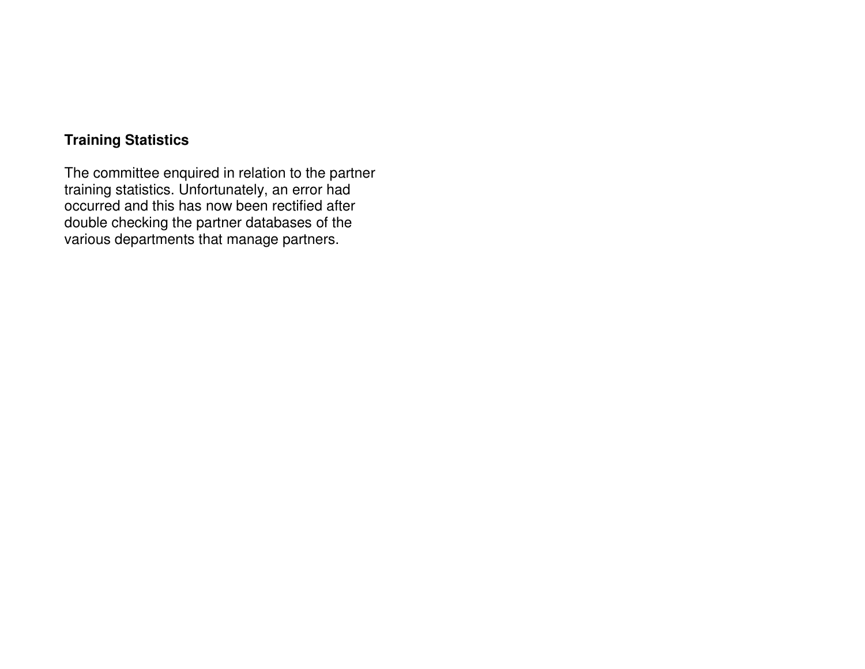## **Training Statistics**

The committee enquired in relation to the partner training statistics. Unfortunately, an error had occurred and this has now been rectified after double checking the partner databases of the various departments that manage partners.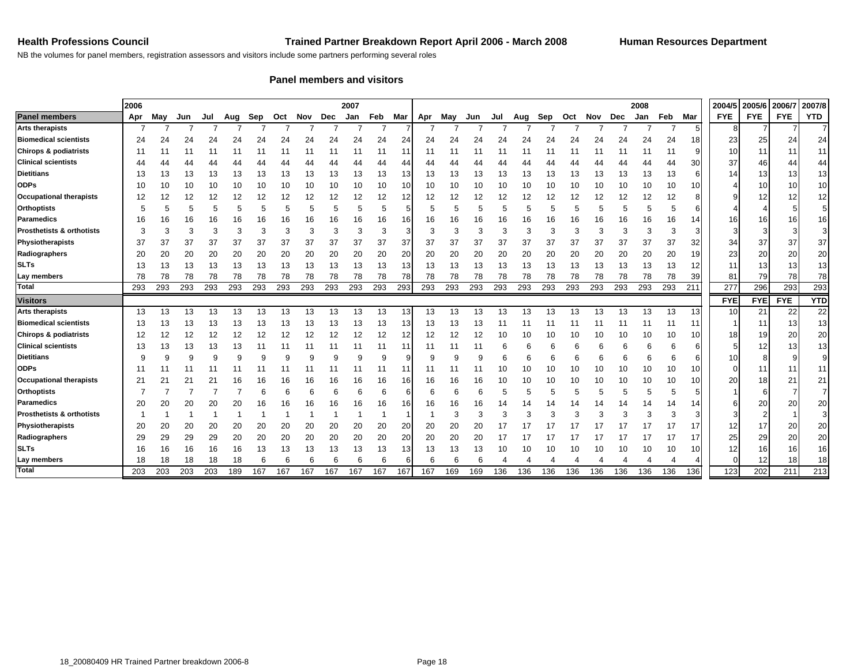NB the volumes for panel members, registration assessors and visitors include some partners performing several roles

#### **Panel members and visitors**

|                                      | 2006<br>2007 |     |     |     |     |     |     |     |     |     |     | 2008 |     |     |              |     |     |     |     |     |     |     |         | 2004/5          | 2005/6     | 2006/7     | 2007/8     |                 |
|--------------------------------------|--------------|-----|-----|-----|-----|-----|-----|-----|-----|-----|-----|------|-----|-----|--------------|-----|-----|-----|-----|-----|-----|-----|---------|-----------------|------------|------------|------------|-----------------|
| <b>Panel members</b>                 | Apr          | May | Jun | Jul | Aug | Sep | Oct | Nov | Dec | Jan | Feb | Mar  | Apr | Mav | Jun          | Jul | Aug | Sep | Oct | Nov | Dec | Jan | Feb Mar |                 | <b>FYE</b> | <b>FYE</b> | <b>FYE</b> | <b>YTD</b>      |
| <b>Arts therapists</b>               |              |     |     |     |     |     |     |     |     |     |     |      |     |     |              |     |     |     |     |     |     |     |         | 5 <sub>5</sub>  | 8          |            |            |                 |
| <b>Biomedical scientists</b>         | 24           | 24  | 24  | 24  | 24  | 24  | 24  | 24  | 24  | 24  | 24  | 24   | 24  | 24  | 24           | 24  | 24  | 24  | 24  | 24  | 24  | 24  | 24      | 18              | 23         | 25         | 24         | 24              |
| <b>Chirops &amp; podiatrists</b>     | 11           | 11  | 11  | 11  |     |     |     | 11  | 11  | 11  | 11  | 11   | 11  | 11  | 11           |     |     | 11  | 11  |     | 11  |     | 11      | 9               | 10         | 11         | 11         | 11              |
| <b>Clinical scientists</b>           | 44           | 44  |     | 44  |     | 44  | 44  | 44  | 44  | 44  | 44  | 44   | 44  | 44  | 44           | 44  | 44  | 44  |     |     | 44  | 44  | 44      | 30              | 37         | 46         | 44         | 44              |
| <b>Dietitians</b>                    | 13           | 13  | 13  | 13  | 13  | 13  | 13  | 13  | 13  | 13  | 13  | 13   | 13  | 13  | 13           | 13  | 13  | 13  | 13  | 13  | 13  | 13  | 13      | 6               | 14         | 13         | 13         | 13              |
| <b>ODPs</b>                          | 10           | 10  | 10  | 10  | 10  | 10  | 10  | 10  | 10  | 10  | 10  | 10   | 10  | 10  | 10           | 10  | 10  | 10  | 10  | 10  | 10  | 10  | 10      | 10              |            | 10         | 10         | 10              |
| <b>Occupational therapists</b>       | 12           | 12  | 12  | 12  | 12  | 12  | 12  | 12  | 12  | 12  | 12  | 12   | 12  | 12  | 12           | 12  | 12  | 12  | 12  | 12  | 12  | 12  | 12      | 8               |            | 12         | 12         | 12 <sub>1</sub> |
| <b>Orthoptists</b>                   | 5            | 5   | 5   |     | 5   | 5   | 5   | 5   | 5   | 5   | 5   | 5    |     | 5   | 5            | 5   | 5   | 5   | 5   | 5   | 5   | 5   |         | 6               |            |            |            | 5 <sub>l</sub>  |
| <b>Paramedics</b>                    | 16           | 16  | 16  | 16  | 16  | 16  | 16  | 16  | 16  | 16  | 16  | 16   | 16  | 16  | 16           | 16  | 16  | 16  | 16  | 16  | 16  | 16  | 16      | 14              | 16         | 16         | 16         | 16              |
| <b>Prosthetists &amp; orthotists</b> | 3            | 3   | 3   |     | 3   | 3   | 3   | 3   | 3   | 3   | 3   |      |     | 3   | 3            | 3   | 3   | 3   | 3   | 3   | 3   | 3   |         | 3               |            |            | 3          | 3 <sup>1</sup>  |
| Physiotherapists                     | 37           | 37  | 37  | 37  | 37  | 37  | 37  | 37  | 37  | 37  | 37  | 37   | 37  | 37  | 37           | 37  | 37  | 37  | 37  | 37  | 37  | 37  | 37      | 32              | 34         | 37         | 37         | 37              |
| Radiographers                        | 20           | 20  | 20  | 20  | 20  | 20  | 20  | 20  | 20  | 20  | 20  | 20   | 20  | 20  | 20           | 20  | 20  | 20  | 20  | 20  | 20  | 20  | 20      | 19              | 23         | 20         | 20         | 20              |
| <b>SLTs</b>                          | 13           | 13  | 13  | 13  | 13  | 13  | 13  | 13  | 13  | 13  | 13  | 13   | 13  | 13  | 13           | 13  | 13  | 13  | 13  | 13  | 13  | 13  | 13      | 12              | 11         | 13         | 13         | 13              |
| Lay members                          | 78           | 78  | 78  | 78  | 78  | 78  | 78  | 78  | 78  | 78  | 78  | 78   | 78  | 78  | 78           | 78  | 78  | 78  | 78  | 78  | 78  | 78  | 78      | 39              | 81         | 79         | 78         | 78              |
| <b>Total</b>                         | 293          | 293 | 293 | 293 | 293 | 293 | 293 | 293 | 293 | 293 | 293 | 293  | 293 | 293 | 293          | 293 | 293 | 293 | 293 | 293 | 293 | 293 | 293     | 211             | 277        | 296        | 293        | 293             |
| <b>Visitors</b>                      |              |     |     |     |     |     |     |     |     |     |     |      |     |     |              |     |     |     |     |     |     |     |         |                 | <b>FYE</b> | <b>FYE</b> | <b>FYE</b> | <b>YTD</b>      |
| <b>Arts therapists</b>               | 13           | 13  | 13  | 13  | 13  | 13  | 13  | 13  | 13  | 13  | 13  | 13   | 13  | 13  | 13           | 13  | 13  | 13  | 13  | 13  | 13  | 13  | 13      | 13              | 10         | 21         | 22         | 22              |
| <b>Biomedical scientists</b>         | 13           | 13  | 13  | 13  | 13  | 13  | 13  | 13  | 13  | 13  | 13  | 13   | 13  | 13  | 13           | 11  |     | 11  | 11  |     | 11  | 11  | 11      | 11              |            | 11         | 13         | 13              |
| <b>Chirops &amp; podiatrists</b>     | 12           | 12  | 12  | 12  | 12  | 12  | 12  | 12  | 12  | 12  | 12  | 12   | 12  | 12  | 12           | 10  | 10  | 10  | 10  | 10  | 10  | 10  | 10      | 10 <sup>1</sup> | 18         | 19         | 20         | 20              |
| <b>Clinical scientists</b>           | 13           | 13  | 13  | 13  | 13  | 11  | 11  | 11  | 11  | 11  | 11  | 11   | 11  | 11  | 11           | 6   | 6   |     | 6   |     | 6   | 6   |         | 6               |            | 12         | 13         | 13              |
| <b>Dietitians</b>                    | q            | 9   | 9   |     | 9   | 9   | g   | g   | 9   |     | 9   | 9    |     | g   | $\mathbf{q}$ |     | 6   | 6   | 6   | 6   | 6   | 6   |         | 6               | 10         |            |            | 9               |
| <b>ODPs</b>                          |              |     |     |     |     |     |     |     |     |     | 11  |      |     |     |              | 10  | 10  | 10  | 10  | 10  | 10  | 10  | 10      | 10              |            | 11         | 11         | 11              |
| <b>Occupational therapists</b>       | 21           | 21  | 21  | 21  | 16  | 16  | 16  | 16  | 16  | 16  | 16  | 16   | 16  | 16  | 16           | 10  | 10  | 10  | 10  | 10  | 10  | 10  | 10      | 10              | 20         | 18         | 21         | 21              |
| <b>Orthoptists</b>                   |              |     |     |     |     | 6   | 6   | 6   | 6   | 6   | 6   | 6    |     | 6   | 6            | 5   | 5   |     | 5   | 5   | 5   | 5   |         | 5               |            |            |            |                 |
| Paramedics                           | 20           | 20  | 20  | 20  | 20  | 16  | 16  | 16  | 16  | 16  | 16  | 16   | 16  | 16  | 16           | 14  | 14  | 14  | 14  | 14  | 14  | 14  | 14      | 14              |            | 20         | 20         | 20              |
| <b>Prosthetists &amp; orthotists</b> |              |     |     |     |     |     |     |     |     |     |     |      |     | 3   | 3            | 3   | 3   | 3   | 3   | 3   | 3   | 3   |         | 3               |            |            |            | 3               |
| Physiotherapists                     | 20           | 20  | 20  | 20  | 20  | 20  | 20  | 20  | 20  | 20  | 20  | 20   | 20  | 20  | 20           | 17  |     | 17  |     |     |     |     | 17      | 17              | 12         | 17         | 20         | 20              |
| Radiographers                        | 29           | 29  | 29  | 29  | 20  | 20  | 20  | 20  | 20  | 20  | 20  | 20   | 20  | 20  | 20           | 17  |     | 17  | 17  |     |     | 17  | 17      | 17              | 25         | 29         | 20         | 20              |
| <b>SLTs</b>                          | 16           | 16  | 16  | 16  | 16  | 13  | 13  | 13  | 13  | 13  | 13  | 13   | 13  | 13  | 13           | 10  | 10  | 10  | 10  | 10  | 10  | 10  | 10      | 10              | 12         | 16         | 16         | 16              |
| Lay members                          | 18           | 18  | 18  | 18  | 18  | 6   | 6   |     |     |     |     | 6    |     |     |              |     |     |     |     |     |     |     |         |                 |            | 12         | 18         | 18              |
| Total                                | 203          | 203 | 203 | 203 | 189 | 167 | 167 | 167 | 167 | 167 | 167 | 167  | 167 | 169 | 169          | 136 | 136 | 136 | 136 | 136 | 136 | 136 | 136     | 136             | 123        | 202        | 211        | 213             |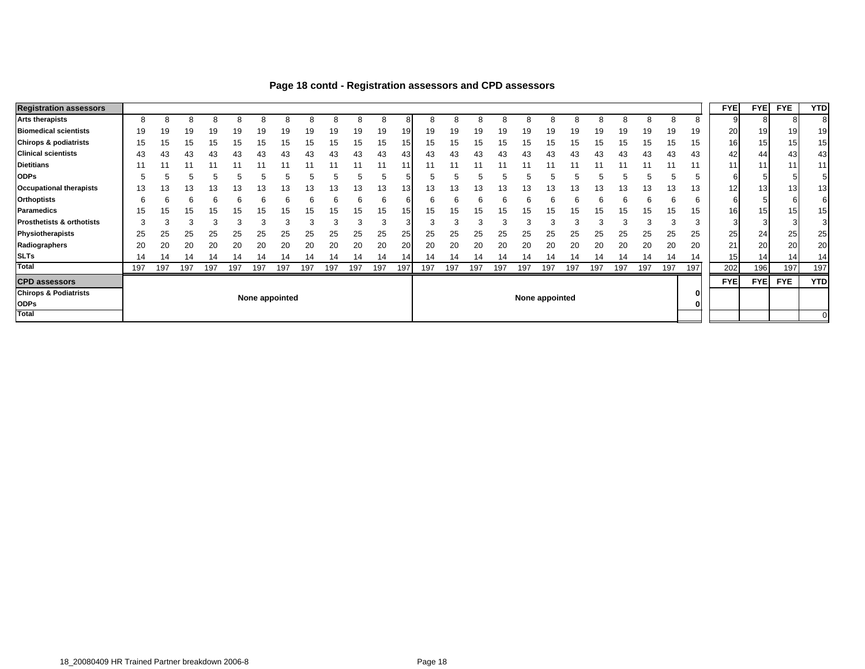| <b>Registration assessors</b>        |     |     |     |     |     |     |                |     |     |     |     |                 |     |     |     |     |     |                |     |     |     |     |     |     | <b>FYE</b>  | <b>FYE</b>      | <b>FYE</b> | <b>YTD</b>      |
|--------------------------------------|-----|-----|-----|-----|-----|-----|----------------|-----|-----|-----|-----|-----------------|-----|-----|-----|-----|-----|----------------|-----|-----|-----|-----|-----|-----|-------------|-----------------|------------|-----------------|
| <b>Arts therapists</b>               | 8   |     | ö   |     |     |     |                |     |     |     |     |                 |     |     |     |     |     |                |     |     |     | 8   | 8   | 8   |             | ੇ ਨ             |            |                 |
| <b>Biomedical scientists</b>         | 19  | 19  | 19  | 19  | 19  | 19  | 19             | 19  | 19  | 19  | 19  | 19              | 19  | 19  | 19  | 19  | 19  | 19             | 19  | 19  | 19  | 19  | 19  | 19  | 20          | 19              | 19         | 19              |
| <b>Chirops &amp; podiatrists</b>     | 15  | 15  | 15  | 15  | 15  | 15  | 15             | 15  | 15  | 15  | 15  | 15              | 15  | 15  | 15  | 15  | 15  | 15             | 15  | 15  | 15  | 15  | 15  | 15  | 16 <b>I</b> | 15              | 15         | 15 <sub>1</sub> |
| <b>Clinical scientists</b>           | 43  | 43  | 43  | 43  | 43  | 43  | 43             | 43  | 43  | 43  | 43  | 43              | 43  | 43  | 43  | 43  | 43  | 43             | 43  | 43  | 43  | 43  | 43  | 43  | 42          | 44              | 43         | 43              |
| <b>Dietitians</b>                    |     |     |     |     |     |     |                |     |     |     |     |                 |     |     |     |     |     |                |     |     |     |     |     | 11  | 111         | 11              | 11         | 11              |
| <b>ODPs</b>                          |     |     |     |     |     |     |                |     |     |     |     |                 |     |     |     |     |     |                |     |     |     |     |     | b   | 6           |                 |            |                 |
| <b>Occupational therapists</b>       | 13  | 13  | 13  | 13  | 13  | 13  | 13             | 13  | 13  | 13  | 13  | 13 <sub>1</sub> | 13  | 5 ا | 13  | 13  |     | 13             | 13  | 13  | 13  | 13  | 13  | 13  | 12          | 13 <sub>1</sub> | 13         | 13              |
| <b>Orthoptists</b>                   |     |     |     |     |     |     |                |     |     | h   |     |                 |     |     |     |     |     |                |     |     |     | 6   |     | ь   | 6           |                 |            |                 |
| <b>Paramedics</b>                    | 15  | 15  | 15  | 15  | 15  | 15  | 15             | 15  | 15  | 15  | 15  |                 | 15  | 15  | 15  |     | 15  | 15             | 15  | 15  | 15  | 15  | 15  | 15  | 161         | 15              | 15         | 15 <sub>1</sub> |
| <b>Prosthetists &amp; orthotists</b> |     |     | ີ   |     |     |     |                |     |     | 3   |     | з               |     |     |     |     | c   |                |     |     |     |     |     | ົ   |             |                 |            |                 |
| Physiotherapists                     | 25  | 25  | 25  | 25  | 25  | 25  | 25             | 25  | 25  | 25  | 25  | 25              | 25  | 25  | 25  | 25  | 25  | 25             | 25  | 25  | 25  | 25  | 25  | 25  | 25          | 24              | 25         | 25              |
| Radiographers                        | 20  | 20  | 20  | 20  | 20  | 20  | 20             | 20  | 20  | 20  | 20  | 20              | 20  | 20  | 20  | 20  | 20  | 20             | 20  | 20  | 20  | 20  | 20  | 20  | 21          | <b>20</b>       | 20         | 20              |
| <b>SLTs</b>                          | 14  | 14  | 14  |     |     | 14  |                | 14  | 14  |     |     | 14              | 14  |     | 14  |     |     |                | 14  | 14  |     | 14  | 14  | 14  | 15          | 14              | 14         | 14              |
| Total                                | 197 | 197 | 197 | 197 | 197 | 197 | 197            | 197 | 197 | 197 | 197 | 197             | 197 | 197 | 197 | 197 | 197 | 197            | 197 | 197 | 197 | 197 | 197 | 197 | 202         | 196             | 197        | 197             |
| <b>CPD assessors</b>                 |     |     |     |     |     |     |                |     |     |     |     |                 |     |     |     |     |     |                |     |     |     |     |     |     | <b>FYE</b>  | <b>FYE</b>      | <b>FYE</b> | <b>YTD</b>      |
| <b>Chirops &amp; Podiatrists</b>     |     |     |     |     |     |     | None appointed |     |     |     |     |                 |     |     |     |     |     | None appointed |     |     |     |     |     |     |             |                 |            |                 |
| <b>ODPs</b>                          |     |     |     |     |     |     |                |     |     |     |     |                 |     |     |     |     |     |                |     |     |     |     |     |     |             |                 |            |                 |
| Total                                |     |     |     |     |     |     |                |     |     |     |     |                 |     |     |     |     |     |                |     |     |     |     |     |     |             |                 |            |                 |

#### **Page 18 contd - Registration assessors and CPD assessors**